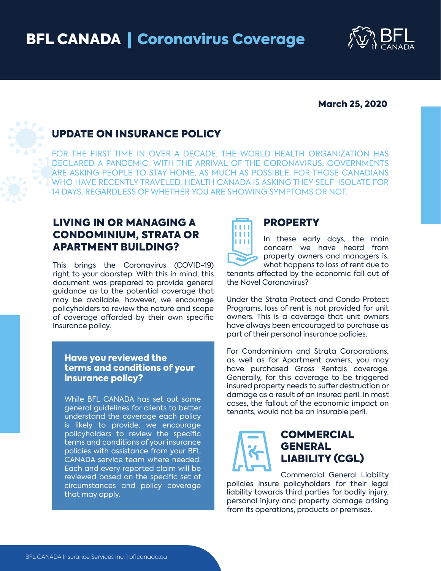

#### March 25, 2020

# UPDATE ON INSURANCE POLICY

FOR THE FIRST TIME IN OVER A DECADE, THE WORLD HEALTH ORGANIZATION HAS DECLARED A PANDEMIC. WITH THE ARRIVAL OF THE CORONAVIRUS, GOVERNMENTS ARE ASKING PEOPLE TO STAY HOME, AS MUCH AS POSSIBLE. FOR THOSE CANADIANS WHO HAVE RECENTLY TRAVELED, HEALTH CANADA IS ASKING THEY SELF-ISOLATE FOR 14 DAYS, REGARDLESS OF WHETHER YOU ARE SHOWING SYMPTOMS OR NOT.

## LIVING IN OR MANAGING A CONDOMINIUM, STRATA OR APARTMENT BUILDING?

This brings the Coronavirus (COVID-19) right to your doorstep. With this in mind, this document was prepared to provide general guidance as to the potential coverage that may be available, however, we encourage policyholders to review the nature and scope of coverage afforded by their own specific insurance policy.

#### Have you reviewed the terms and conditions of your insurance policy?

While BFL CANADA has set out some general guidelines for clients to better understand the coverage each policy is likely to provide, we encourage policyholders to review the specific terms and conditions of your insurance policies with assistance from your BFL CANADA service team where needed. Each and every reported claim will be reviewed based on the specific set of circumstances and policy coverage that may apply.

# **TTTT TITE** ш

### PROPERTY

In these early days, the main concern we have heard from property owners and managers is, what happens to loss of rent due to

tenants affected by the economic fall out of the Novel Coronavirus?

Under the Strata Protect and Condo Protect Programs, loss of rent is not provided for unit owners. This is a coverage that unit owners have always been encouraged to purchase as part of their personal insurance policies.

For Condominium and Strata Corporations, as well as for Apartment owners, you may have purchased Gross Rentals coverage. Generally, for this coverage to be triggered insured property needs to suffer destruction or damage as a result of an insured peril. In most cases, the fallout of the economic impact on tenants, would not be an insurable peril.

## COMMERCIAL GENERAL LIABILITY (CGL)

Commercial General Liability policies insure policyholders for their legal liability towards third parties for bodily injury, personal injury and property damage arising from its operations, products or premises.